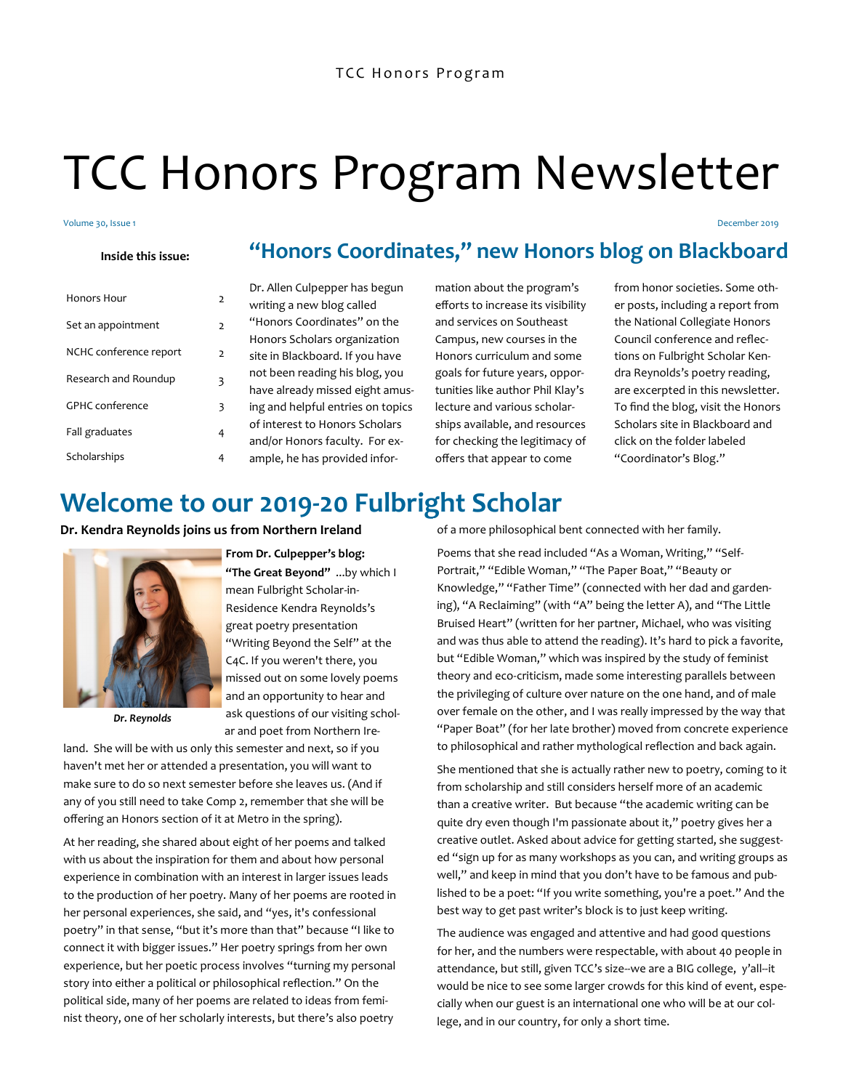# TCC Honors Program Newsletter

#### Volume 30, Issue 1

**Inside this issue:**

| Honors Hour            | 2 |
|------------------------|---|
| Set an appointment     | 2 |
| NCHC conference report | 2 |
| Research and Roundup   | 3 |
| <b>GPHC</b> conference | 3 |
| Fall graduates         | 4 |
| Scholarships           |   |

Dr. Allen Culpepper has begun writing a new blog called "Honors Coordinates" on the Honors Scholars organization site in Blackboard. If you have not been reading his blog, you have already missed eight amusing and helpful entries on topics of interest to Honors Scholars and/or Honors faculty. For example, he has provided information about the program's efforts to increase its visibility and services on Southeast Campus, new courses in the Honors curriculum and some goals for future years, opportunities like author Phil Klay's lecture and various scholarships available, and resources for checking the legitimacy of offers that appear to come

**"Honors Coordinates," new Honors blog on Blackboard**

from honor societies. Some other posts, including a report from the National Collegiate Honors Council conference and reflections on Fulbright Scholar Kendra Reynolds's poetry reading, are excerpted in this newsletter. To find the blog, visit the Honors Scholars site in Blackboard and click on the folder labeled "Coordinator's Blog."

December 2019

### **Welcome to our 2019-20 Fulbright Scholar**

**Dr. Kendra Reynolds joins us from Northern Ireland**



*Dr. Reynolds*

### **From Dr. Culpepper's blog:**

**"The Great Beyond"** ...by which I mean Fulbright Scholar-in-Residence Kendra Reynolds's great poetry presentation "Writing Beyond the Self" at the C4C. If you weren't there, you missed out on some lovely poems and an opportunity to hear and ask questions of our visiting scholar and poet from Northern Ire-

land. She will be with us only this semester and next, so if you haven't met her or attended a presentation, you will want to make sure to do so next semester before she leaves us. (And if any of you still need to take Comp 2, remember that she will be offering an Honors section of it at Metro in the spring).

At her reading, she shared about eight of her poems and talked with us about the inspiration for them and about how personal experience in combination with an interest in larger issues leads to the production of her poetry. Many of her poems are rooted in her personal experiences, she said, and "yes, it's confessional poetry" in that sense, "but it's more than that" because "I like to connect it with bigger issues." Her poetry springs from her own experience, but her poetic process involves "turning my personal story into either a political or philosophical reflection." On the political side, many of her poems are related to ideas from feminist theory, one of her scholarly interests, but there's also poetry

of a more philosophical bent connected with her family.

Poems that she read included "As a Woman, Writing," "Self-Portrait," "Edible Woman," "The Paper Boat," "Beauty or Knowledge," "Father Time" (connected with her dad and gardening), "A Reclaiming" (with "A" being the letter A), and "The Little Bruised Heart" (written for her partner, Michael, who was visiting and was thus able to attend the reading). It's hard to pick a favorite, but "Edible Woman," which was inspired by the study of feminist theory and eco-criticism, made some interesting parallels between the privileging of culture over nature on the one hand, and of male over female on the other, and I was really impressed by the way that "Paper Boat" (for her late brother) moved from concrete experience to philosophical and rather mythological reflection and back again.

She mentioned that she is actually rather new to poetry, coming to it from scholarship and still considers herself more of an academic than a creative writer. But because "the academic writing can be quite dry even though I'm passionate about it," poetry gives her a creative outlet. Asked about advice for getting started, she suggested "sign up for as many workshops as you can, and writing groups as well," and keep in mind that you don't have to be famous and published to be a poet: "If you write something, you're a poet." And the best way to get past writer's block is to just keep writing.

The audience was engaged and attentive and had good questions for her, and the numbers were respectable, with about 40 people in attendance, but still, given TCC's size--we are a BIG college, y'all--it would be nice to see some larger crowds for this kind of event, especially when our guest is an international one who will be at our college, and in our country, for only a short time.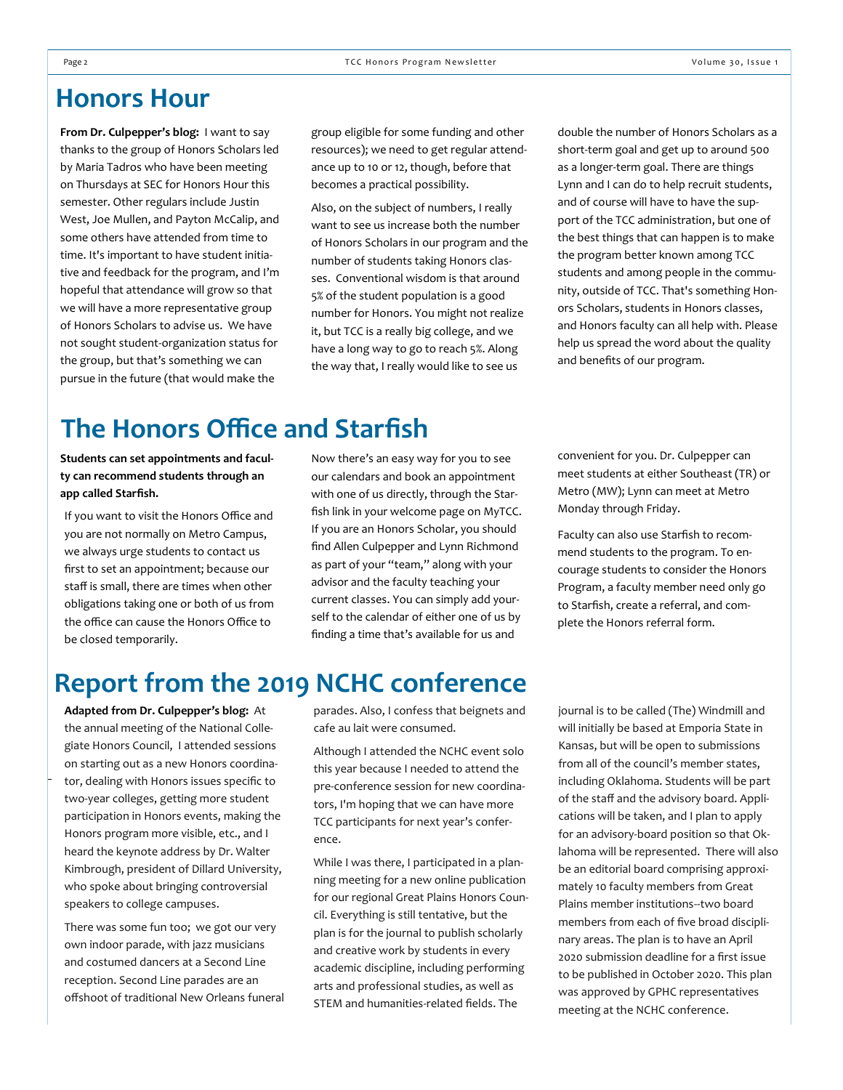### **Honors Hour**

**From Dr. Culpepper's blog:** I want to say thanks to the group of Honors Scholars led by Maria Tadros who have been meeting on Thursdays at SEC for Honors Hour this semester. Other regulars include Justin West, Joe Mullen, and Payton McCalip, and some others have attended from time to time. It's important to have student initiative and feedback for the program, and I'm hopeful that attendance will grow so that we will have a more representative group of Honors Scholars to advise us. We have not sought student-organization status for the group, but that's something we can pursue in the future (that would make the

group eligible for some funding and other resources); we need to get regular attendance up to 10 or 12, though, before that becomes a practical possibility.

Also, on the subject of numbers, I really want to see us increase both the number of Honors Scholars in our program and the number of students taking Honors classes. Conventional wisdom is that around 5% of the student population is a good number for Honors. You might not realize it, but TCC is a really big college, and we have a long way to go to reach 5%. Along the way that, I really would like to see us

double the number of Honors Scholars as a short-term goal and get up to around 500 as a longer-term goal. There are things Lynn and I can do to help recruit students, and of course will have to have the support of the TCC administration, but one of the best things that can happen is to make the program better known among TCC students and among people in the community, outside of TCC. That's something Honors Scholars, students in Honors classes, and Honors faculty can all help with. Please help us spread the word about the quality and benefits of our program.

### **The Honors Office and Starfish**

**Students can set appointments and faculty can recommend students through an app called Starfish.**

If you want to visit the Honors Office and you are not normally on Metro Campus, we always urge students to contact us first to set an appointment; because our staff is small, there are times when other obligations taking one or both of us from the office can cause the Honors Office to be closed temporarily.

Now there's an easy way for you to see our calendars and book an appointment with one of us directly, through the Starfish link in your welcome page on MyTCC. If you are an Honors Scholar, you should find Allen Culpepper and Lynn Richmond as part of your "team," along with your advisor and the faculty teaching your current classes. You can simply add yourself to the calendar of either one of us by finding a time that's available for us and

convenient for you. Dr. Culpepper can meet students at either Southeast (TR) or Metro (MW); Lynn can meet at Metro Monday through Friday.

Faculty can also use Starfish to recommend students to the program. To encourage students to consider the Honors Program, a faculty member need only go to Starfish, create a referral, and complete the Honors referral form.

## **Report from the 2019 NCHC conference**

**Adapted from Dr. Culpepper's blog:** At the annual meeting of the National Collegiate Honors Council, I attended sessions on starting out as a new Honors coordinator, dealing with Honors issues specific to two-year colleges, getting more student participation in Honors events, making the Honors program more visible, etc., and I heard the keynote address by Dr. Walter Kimbrough, president of Dillard University, who spoke about bringing controversial speakers to college campuses.

There was some fun too; we got our very own indoor parade, with jazz musicians and costumed dancers at a Second Line reception. Second Line parades are an offshoot of traditional New Orleans funeral parades. Also, I confess that beignets and cafe au lait were consumed.

Although I attended the NCHC event solo this year because I needed to attend the pre-conference session for new coordinators, I'm hoping that we can have more TCC participants for next year's conference.

While I was there, I participated in a planning meeting for a new online publication for our regional Great Plains Honors Council. Everything is still tentative, but the plan is for the journal to publish scholarly and creative work by students in every academic discipline, including performing arts and professional studies, as well as STEM and humanities-related fields. The

journal is to be called (The) Windmill and will initially be based at Emporia State in Kansas, but will be open to submissions from all of the council's member states, including Oklahoma. Students will be part of the staff and the advisory board. Applications will be taken, and I plan to apply for an advisory-board position so that Oklahoma will be represented. There will also be an editorial board comprising approximately 10 faculty members from Great Plains member institutions--two board members from each of five broad disciplinary areas. The plan is to have an April 2020 submission deadline for a first issue to be published in October 2020. This plan was approved by GPHC representatives meeting at the NCHC conference.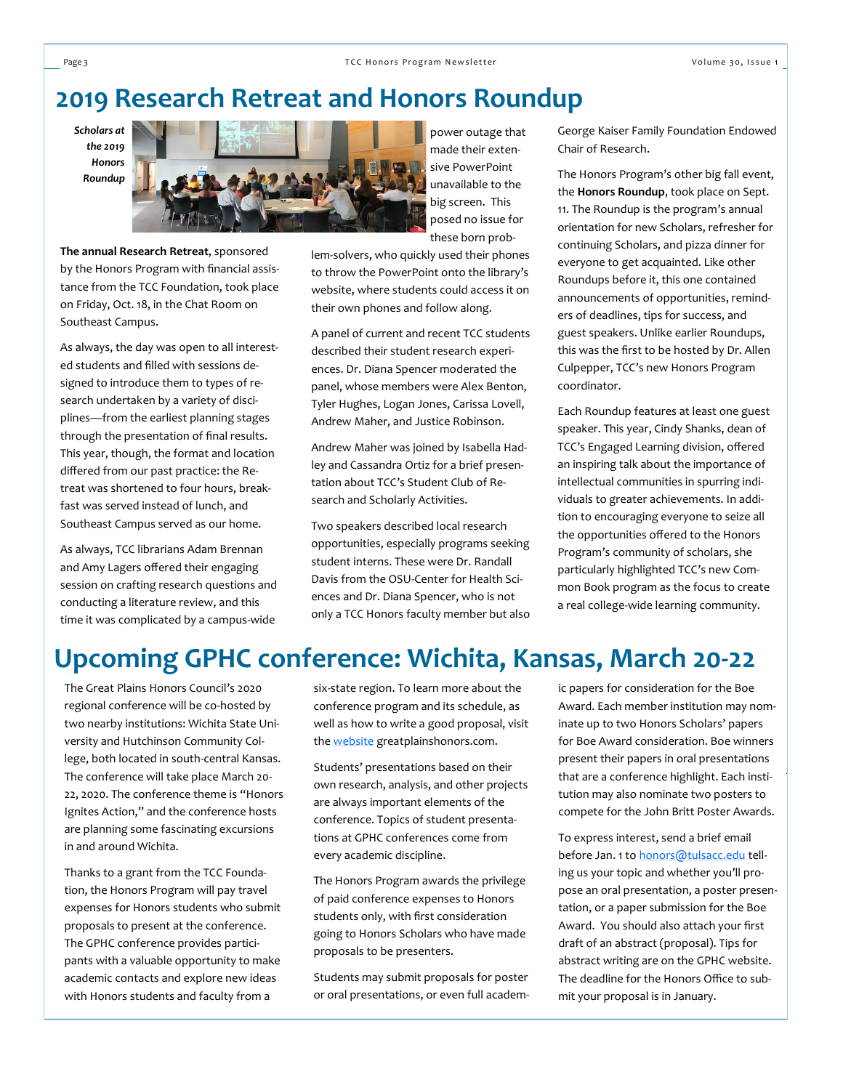### **2019 Research Retreat and Honors Roundup**

*Scholars at the 2019 Honors Roundup*



**The annual Research Retreat**, sponsored by the Honors Program with financial assistance from the TCC Foundation, took place on Friday, Oct. 18, in the Chat Room on Southeast Campus.

As always, the day was open to all interested students and filled with sessions designed to introduce them to types of research undertaken by a variety of disciplines—from the earliest planning stages through the presentation of final results. This year, though, the format and location differed from our past practice: the Retreat was shortened to four hours, breakfast was served instead of lunch, and Southeast Campus served as our home.

As always, TCC librarians Adam Brennan and Amy Lagers offered their engaging session on crafting research questions and conducting a literature review, and this time it was complicated by a campus-wide

power outage that made their extensive PowerPoint unavailable to the big screen. This posed no issue for these born prob-

lem-solvers, who quickly used their phones to throw the PowerPoint onto the library's website, where students could access it on their own phones and follow along.

A panel of current and recent TCC students described their student research experiences. Dr. Diana Spencer moderated the panel, whose members were Alex Benton, Tyler Hughes, Logan Jones, Carissa Lovell, Andrew Maher, and Justice Robinson.

Andrew Maher was joined by Isabella Hadley and Cassandra Ortiz for a brief presentation about TCC's Student Club of Research and Scholarly Activities.

Two speakers described local research opportunities, especially programs seeking student interns. These were Dr. Randall Davis from the OSU-Center for Health Sciences and Dr. Diana Spencer, who is not only a TCC Honors faculty member but also

George Kaiser Family Foundation Endowed Chair of Research.

The Honors Program's other big fall event, the **Honors Roundup**, took place on Sept. 11. The Roundup is the program's annual orientation for new Scholars, refresher for continuing Scholars, and pizza dinner for everyone to get acquainted. Like other Roundups before it, this one contained announcements of opportunities, reminders of deadlines, tips for success, and guest speakers. Unlike earlier Roundups, this was the first to be hosted by Dr. Allen Culpepper, TCC's new Honors Program coordinator.

Each Roundup features at least one guest speaker. This year, Cindy Shanks, dean of TCC's Engaged Learning division, offered an inspiring talk about the importance of intellectual communities in spurring individuals to greater achievements. In addition to encouraging everyone to seize all the opportunities offered to the Honors Program's community of scholars, she particularly highlighted TCC's new Common Book program as the focus to create a real college-wide learning community.

### **Upcoming GPHC conference: Wichita, Kansas, March 20-22**

The Great Plains Honors Council's 2020 regional conference will be co-hosted by two nearby institutions: Wichita State University and Hutchinson Community College, both located in south-central Kansas. The conference will take place March 20- 22, 2020. The conference theme is "Honors Ignites Action," and the conference hosts are planning some fascinating excursions in and around Wichita.

Thanks to a grant from the TCC Foundation, the Honors Program will pay travel expenses for Honors students who submit proposals to present at the conference. The GPHC conference provides participants with a valuable opportunity to make academic contacts and explore new ideas with Honors students and faculty from a

six-state region. To learn more about the conference program and its schedule, as well as how to write a good proposal, visit the **website** greatplainshonors.com.

Students' presentations based on their own research, analysis, and other projects are always important elements of the conference. Topics of student presentations at GPHC conferences come from every academic discipline.

The Honors Program awards the privilege of paid conference expenses to Honors students only, with first consideration going to Honors Scholars who have made proposals to be presenters.

Students may submit proposals for poster or oral presentations, or even full academic papers for consideration for the Boe Award. Each member institution may nominate up to two Honors Scholars' papers for Boe Award consideration. Boe winners present their papers in oral presentations that are a conference highlight. Each institution may also nominate two posters to compete for the John Britt Poster Awards.

To express interest, send a brief email before Jan. 1 to [honors@tulsacc.edu](mailto:honors@tulsacc.edu) telling us your topic and whether you'll propose an oral presentation, a poster presentation, or a paper submission for the Boe Award. You should also attach your first draft of an abstract (proposal). Tips for abstract writing are on the GPHC website. The deadline for the Honors Office to submit your proposal is in January.